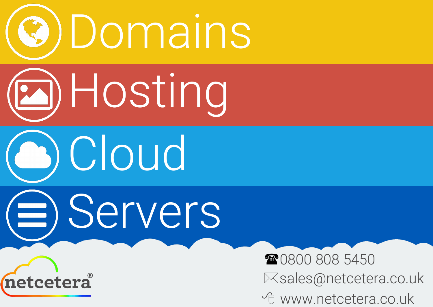

## **Esales@netcetera.co.uk G** www.netcetera.co.uk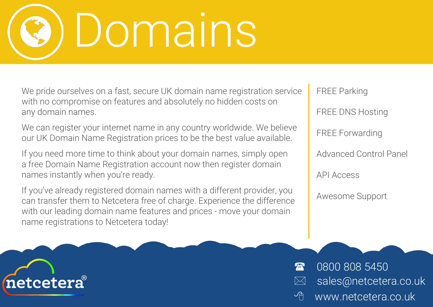## Domains

We pride ourselves on a fast, secure UK domain name registration service with no compromise on features and absolutely no hidden costs on any domain names.

We can register your internet name in any country worldwide. We believe our UK Domain Name Registration prices to be the best value available.

If you need more time to think about your domain names, simply open a free Domain Name Registration account now then register domain names instantly when you're ready.

> **8** 0800 808 5450  $\boxtimes$  sales@netcetera.co.uk www.netcetera.co.uk

If you've already registered domain names with a different provider, you can transfer them to Netcetera free of charge. Experience the difference with our leading domain name features and prices - move your domain name registrations to Netcetera today!



- Awesome Support
- API Access
- Advanced Control Panel
- FREE Forwarding
- FREE DNS Hosting
- FREE Parking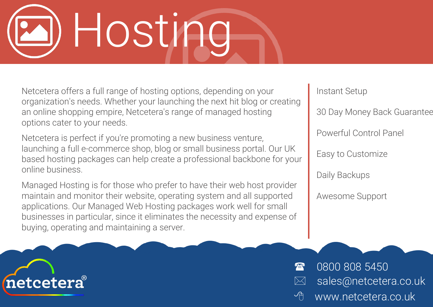## Hosting

Netcetera offers a full range of hosting options, depending on your organization's needs. Whether your launching the next hit blog or creating an online shopping empire, Netcetera's range of managed hosting options cater to your needs.

Netcetera is perfect if you're promoting a new business venture, launching a full e-commerce shop, blog or small business portal. Our UK based hosting packages can help create a professional backbone for your online business.

Managed Hosting is for those who prefer to have their web host provider maintain and monitor their website, operating system and all supported applications. Our Managed Web Hosting packages work well for small businesses in particular, since it eliminates the necessity and expense of buying, operating and maintaining a server.





**2 0800 808 5450** sales@netcetera.co.uk <sup>th</sup> www.netcetera.co.uk

Instant Setup

30 Day Money Back Guarantee

Powerful Control Panel

Easy to Customize

Daily Backups

Awesome Support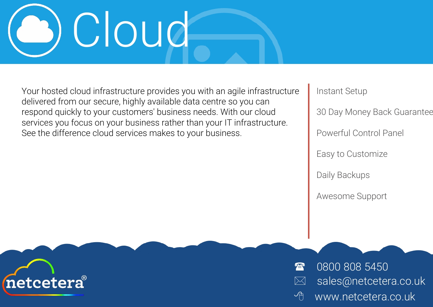## Cloud

Your hosted cloud infrastructure provides you with an agile infrastructure delivered from our secure, highly available data centre so you can respond quickly to your customers' business needs. With our cloud services you focus on your business rather than your IT infrastructure. See the difference cloud services makes to your business.





**2 0800 808 5450** sales@netcetera.co.uk <sup>th</sup> www.netcetera.co.uk

Instant Setup

30 Day Money Back Guarantee

Powerful Control Panel

Easy to Customize

Daily Backups

Awesome Support